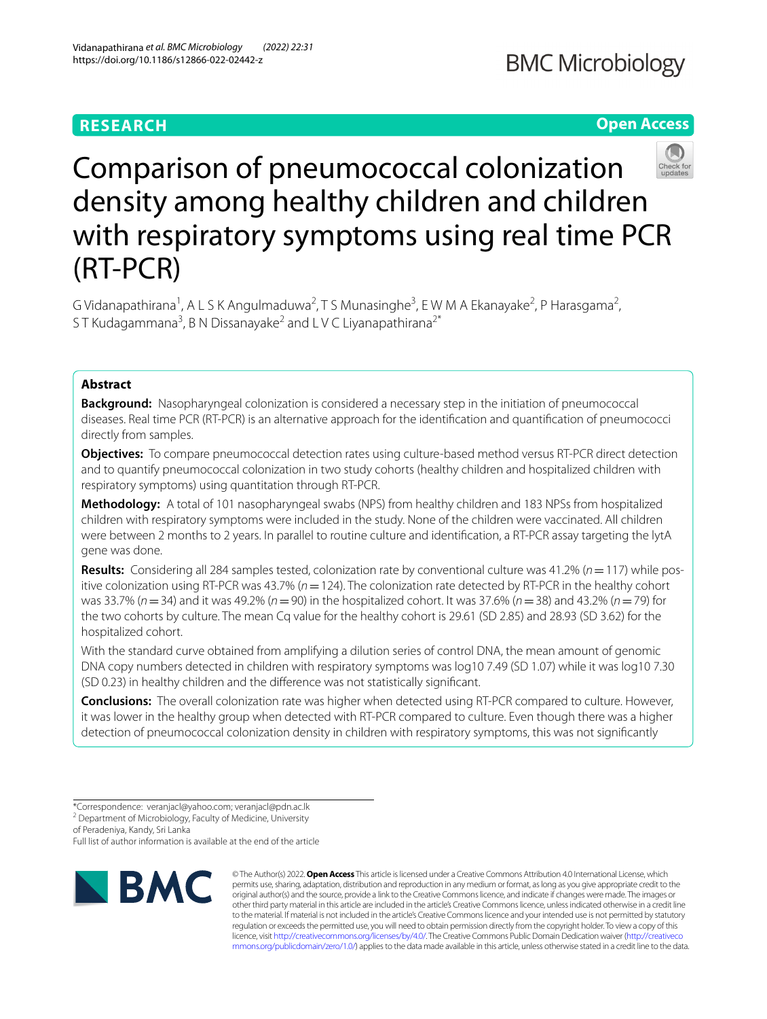## **RESEARCH**

## **Open Access**



# Comparison of pneumococcal colonization density among healthy children and children with respiratory symptoms using real time PCR (RT-PCR)

G Vidanapathirana<sup>1</sup>, A L S K Angulmaduwa<sup>2</sup>, T S Munasinghe<sup>3</sup>, E W M A Ekanayake<sup>2</sup>, P Harasgama<sup>2</sup>, ST Kudagammana<sup>3</sup>, B N Dissanayake<sup>2</sup> and L V C Liyanapathirana<sup>2\*</sup>

## **Abstract**

**Background:** Nasopharyngeal colonization is considered a necessary step in the initiation of pneumococcal diseases. Real time PCR (RT-PCR) is an alternative approach for the identifcation and quantifcation of pneumococci directly from samples.

**Objectives:** To compare pneumococcal detection rates using culture-based method versus RT-PCR direct detection and to quantify pneumococcal colonization in two study cohorts (healthy children and hospitalized children with respiratory symptoms) using quantitation through RT-PCR.

**Methodology:** A total of 101 nasopharyngeal swabs (NPS) from healthy children and 183 NPSs from hospitalized children with respiratory symptoms were included in the study. None of the children were vaccinated. All children were between 2 months to 2 years. In parallel to routine culture and identifcation, a RT-PCR assay targeting the lytA gene was done.

**Results:** Considering all 284 samples tested, colonization rate by conventional culture was 41.2% (*n*=117) while positive colonization using RT-PCR was 43.7% (*n*=124). The colonization rate detected by RT-PCR in the healthy cohort was 33.7% (*n*=34) and it was 49.2% (*n*=90) in the hospitalized cohort. It was 37.6% (*n*=38) and 43.2% (*n*=79) for the two cohorts by culture. The mean Cq value for the healthy cohort is 29.61 (SD 2.85) and 28.93 (SD 3.62) for the hospitalized cohort.

With the standard curve obtained from amplifying a dilution series of control DNA, the mean amount of genomic DNA copy numbers detected in children with respiratory symptoms was log10 7.49 (SD 1.07) while it was log10 7.30 (SD 0.23) in healthy children and the diference was not statistically signifcant.

**Conclusions:** The overall colonization rate was higher when detected using RT-PCR compared to culture. However, it was lower in the healthy group when detected with RT-PCR compared to culture. Even though there was a higher detection of pneumococcal colonization density in children with respiratory symptoms, this was not signifcantly

of Peradeniya, Kandy, Sri Lanka

Full list of author information is available at the end of the article



© The Author(s) 2022. **Open Access** This article is licensed under a Creative Commons Attribution 4.0 International License, which permits use, sharing, adaptation, distribution and reproduction in any medium or format, as long as you give appropriate credit to the original author(s) and the source, provide a link to the Creative Commons licence, and indicate if changes were made. The images or other third party material in this article are included in the article's Creative Commons licence, unless indicated otherwise in a credit line to the material. If material is not included in the article's Creative Commons licence and your intended use is not permitted by statutory regulation or exceeds the permitted use, you will need to obtain permission directly from the copyright holder. To view a copy of this licence, visit [http://creativecommons.org/licenses/by/4.0/.](http://creativecommons.org/licenses/by/4.0/) The Creative Commons Public Domain Dedication waiver ([http://creativeco](http://creativecommons.org/publicdomain/zero/1.0/) [mmons.org/publicdomain/zero/1.0/](http://creativecommons.org/publicdomain/zero/1.0/)) applies to the data made available in this article, unless otherwise stated in a credit line to the data.

<sup>\*</sup>Correspondence: veranjacl@yahoo.com; veranjacl@pdn.ac.lk

<sup>&</sup>lt;sup>2</sup> Department of Microbiology, Faculty of Medicine, University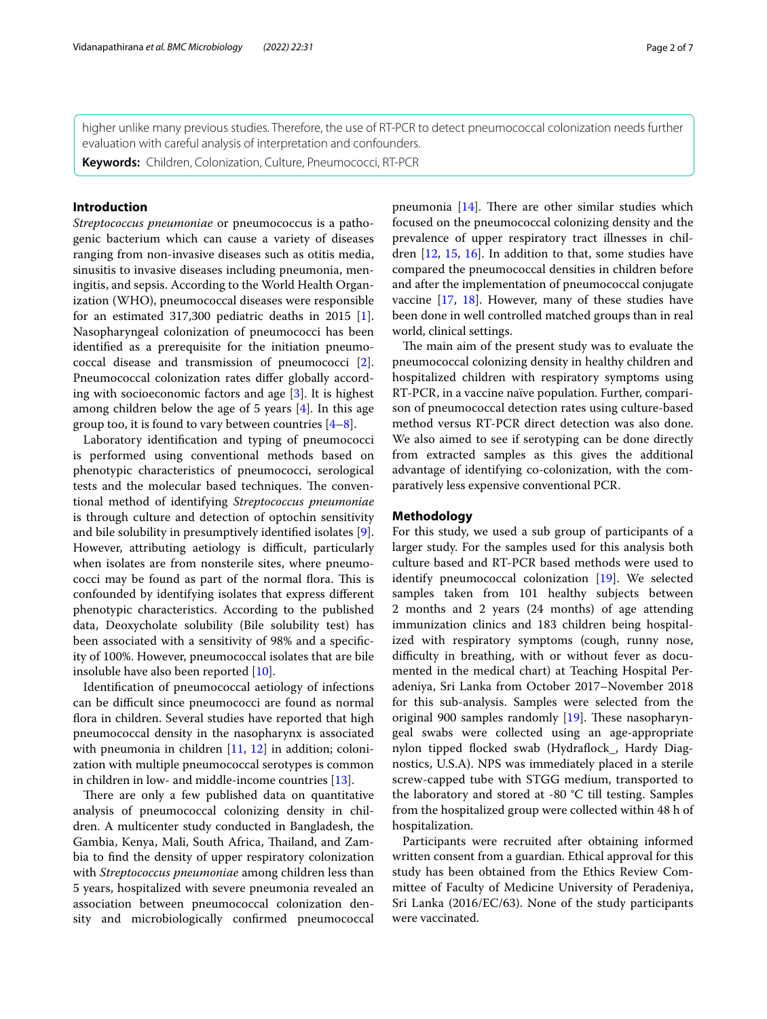higher unlike many previous studies. Therefore, the use of RT-PCR to detect pneumococcal colonization needs further evaluation with careful analysis of interpretation and confounders.

**Keywords:** Children, Colonization, Culture, Pneumococci, RT-PCR

## **Introduction**

*Streptococcus pneumoniae* or pneumococcus is a pathogenic bacterium which can cause a variety of diseases ranging from non-invasive diseases such as otitis media, sinusitis to invasive diseases including pneumonia, meningitis, and sepsis. According to the World Health Organization (WHO), pneumococcal diseases were responsible for an estimated 317,300 pediatric deaths in 2015 [\[1](#page-5-0)]. Nasopharyngeal colonization of pneumococci has been identifed as a prerequisite for the initiation pneumococcal disease and transmission of pneumococci [\[2](#page-5-1)]. Pneumococcal colonization rates difer globally according with socioeconomic factors and age [\[3](#page-5-2)]. It is highest among children below the age of 5 years [[4\]](#page-5-3). In this age group too, it is found to vary between countries  $[4-8]$  $[4-8]$ .

Laboratory identifcation and typing of pneumococci is performed using conventional methods based on phenotypic characteristics of pneumococci, serological tests and the molecular based techniques. The conventional method of identifying *Streptococcus pneumoniae* is through culture and detection of optochin sensitivity and bile solubility in presumptively identifed isolates [\[9](#page-5-5)]. However, attributing aetiology is difficult, particularly when isolates are from nonsterile sites, where pneumococci may be found as part of the normal flora. This is confounded by identifying isolates that express diferent phenotypic characteristics. According to the published data, Deoxycholate solubility (Bile solubility test) has been associated with a sensitivity of 98% and a specifcity of 100%. However, pneumococcal isolates that are bile insoluble have also been reported [[10\]](#page-5-6).

Identifcation of pneumococcal aetiology of infections can be difcult since pneumococci are found as normal fora in children. Several studies have reported that high pneumococcal density in the nasopharynx is associated with pneumonia in children [\[11](#page-5-7), [12](#page-5-8)] in addition; colonization with multiple pneumococcal serotypes is common in children in low- and middle-income countries [\[13\]](#page-6-0).

There are only a few published data on quantitative analysis of pneumococcal colonizing density in children. A multicenter study conducted in Bangladesh, the Gambia, Kenya, Mali, South Africa, Thailand, and Zambia to fnd the density of upper respiratory colonization with *Streptococcus pneumoniae* among children less than 5 years, hospitalized with severe pneumonia revealed an association between pneumococcal colonization density and microbiologically confrmed pneumococcal pneumonia  $[14]$  $[14]$  $[14]$ . There are other similar studies which focused on the pneumococcal colonizing density and the prevalence of upper respiratory tract illnesses in children [\[12,](#page-5-8) [15](#page-6-2), [16\]](#page-6-3). In addition to that, some studies have compared the pneumococcal densities in children before and after the implementation of pneumococcal conjugate vaccine [[17,](#page-6-4) [18](#page-6-5)]. However, many of these studies have been done in well controlled matched groups than in real world, clinical settings.

The main aim of the present study was to evaluate the pneumococcal colonizing density in healthy children and hospitalized children with respiratory symptoms using RT-PCR, in a vaccine naïve population. Further, comparison of pneumococcal detection rates using culture-based method versus RT-PCR direct detection was also done. We also aimed to see if serotyping can be done directly from extracted samples as this gives the additional advantage of identifying co-colonization, with the comparatively less expensive conventional PCR.

## **Methodology**

For this study, we used a sub group of participants of a larger study. For the samples used for this analysis both culture based and RT-PCR based methods were used to identify pneumococcal colonization [[19\]](#page-6-6). We selected samples taken from 101 healthy subjects between 2 months and 2 years (24 months) of age attending immunization clinics and 183 children being hospitalized with respiratory symptoms (cough, runny nose, difficulty in breathing, with or without fever as documented in the medical chart) at Teaching Hospital Peradeniya, Sri Lanka from October 2017–November 2018 for this sub-analysis. Samples were selected from the original 900 samples randomly [\[19](#page-6-6)]. These nasopharyngeal swabs were collected using an age-appropriate nylon tipped flocked swab (Hydraflock\_, Hardy Diagnostics, U.S.A). NPS was immediately placed in a sterile screw-capped tube with STGG medium, transported to the laboratory and stored at  $-80$  °C till testing. Samples from the hospitalized group were collected within 48 h of hospitalization.

Participants were recruited after obtaining informed written consent from a guardian. Ethical approval for this study has been obtained from the Ethics Review Committee of Faculty of Medicine University of Peradeniya, Sri Lanka (2016/EC/63). None of the study participants were vaccinated.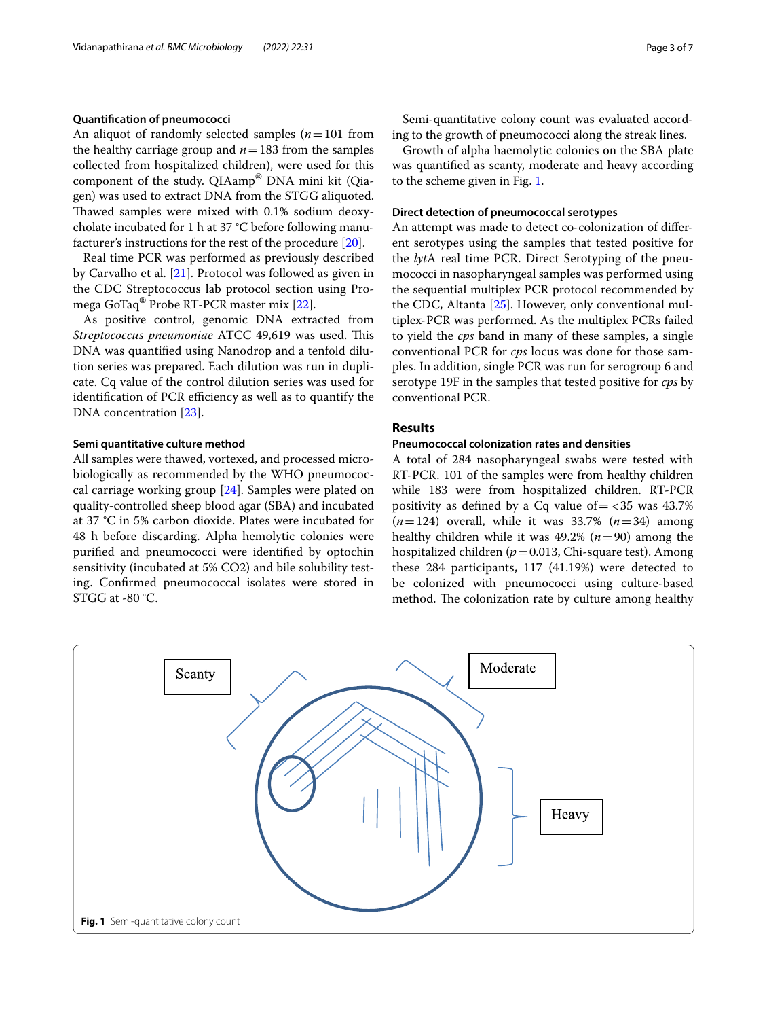## **Quantifcation of pneumococci**

An aliquot of randomly selected samples  $(n=101$  from the healthy carriage group and  $n=183$  from the samples collected from hospitalized children), were used for this component of the study. QIAamp® DNA mini kit (Qiagen) was used to extract DNA from the STGG aliquoted. Thawed samples were mixed with 0.1% sodium deoxycholate incubated for 1 h at 37 °C before following manufacturer's instructions for the rest of the procedure [\[20](#page-6-7)].

Real time PCR was performed as previously described by Carvalho et al. [\[21\]](#page-6-8). Protocol was followed as given in the CDC Streptococcus lab protocol section using Promega GoTaq® Probe RT-PCR master mix [\[22](#page-6-9)].

As positive control, genomic DNA extracted from *Streptococcus pneumoniae* ATCC 49,619 was used. This DNA was quantifed using Nanodrop and a tenfold dilution series was prepared. Each dilution was run in duplicate. Cq value of the control dilution series was used for identification of PCR efficiency as well as to quantify the DNA concentration [\[23](#page-6-10)].

## **Semi quantitative culture method**

All samples were thawed, vortexed, and processed microbiologically as recommended by the WHO pneumococcal carriage working group [\[24\]](#page-6-11). Samples were plated on quality-controlled sheep blood agar (SBA) and incubated at 37 °C in 5% carbon dioxide. Plates were incubated for 48 h before discarding. Alpha hemolytic colonies were purifed and pneumococci were identifed by optochin sensitivity (incubated at 5% CO2) and bile solubility testing. Confrmed pneumococcal isolates were stored in STGG at -80 °C.

Semi-quantitative colony count was evaluated according to the growth of pneumococci along the streak lines.

Growth of alpha haemolytic colonies on the SBA plate was quantifed as scanty, moderate and heavy according to the scheme given in Fig. [1](#page-2-0).

## **Direct detection of pneumococcal serotypes**

An attempt was made to detect co-colonization of diferent serotypes using the samples that tested positive for the *lyt*A real time PCR. Direct Serotyping of the pneumococci in nasopharyngeal samples was performed using the sequential multiplex PCR protocol recommended by the CDC, Altanta [\[25](#page-6-12)]. However, only conventional multiplex-PCR was performed. As the multiplex PCRs failed to yield the *cps* band in many of these samples, a single conventional PCR for *cps* locus was done for those samples. In addition, single PCR was run for serogroup 6 and serotype 19F in the samples that tested positive for *cps* by conventional PCR.

## **Results**

## **Pneumococcal colonization rates and densities**

A total of 284 nasopharyngeal swabs were tested with RT-PCR. 101 of the samples were from healthy children while 183 were from hospitalized children. RT-PCR positivity as defined by a Cq value of  $=$  <35 was 43.7% (*n*=124) overall, while it was 33.7% (*n*=34) among healthy children while it was  $49.2\%$  ( $n=90$ ) among the hospitalized children (*p*=0.013, Chi-square test). Among these 284 participants, 117 (41.19%) were detected to be colonized with pneumococci using culture-based method. The colonization rate by culture among healthy

<span id="page-2-0"></span>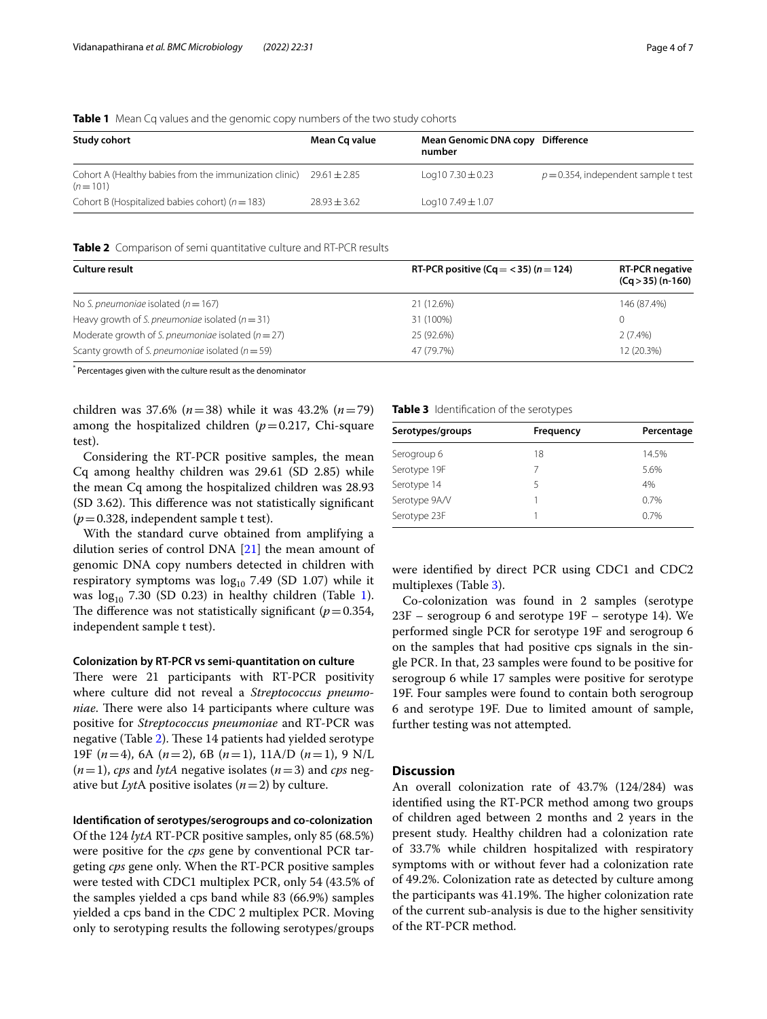## <span id="page-3-0"></span>**Table 1** Mean Cq values and the genomic copy numbers of the two study cohorts

| Study cohort                                                                         | Mean Cq value  | Mean Genomic DNA copy Difference<br>number |                                         |
|--------------------------------------------------------------------------------------|----------------|--------------------------------------------|-----------------------------------------|
| Cohort A (Healthy babies from the immunization clinic) $29.61 \pm 2.85$<br>$(n=101)$ |                | Log 10 7.30 $\pm$ 0.23                     | $p = 0.354$ , independent sample t test |
| Cohort B (Hospitalized babies cohort) ( $n = 183$ )                                  | $78.93 + 3.62$ | $Log107.49 \pm 1.07$                       |                                         |

## <span id="page-3-1"></span>**Table 2** Comparison of semi quantitative culture and RT-PCR results

| Culture result                                         | RT-PCR positive (Cq = $<$ 35) (n = 124) | <b>RT-PCR negative</b><br>$(Cq > 35)$ (n-160) |
|--------------------------------------------------------|-----------------------------------------|-----------------------------------------------|
| No S. pneumoniae isolated ( $n = 167$ )                | 21 (12.6%)                              | 146 (87.4%)                                   |
| Heavy growth of S. pneumoniae isolated ( $n = 31$ )    | 31 (100%)                               | 0                                             |
| Moderate growth of S. pneumoniae isolated ( $n = 27$ ) | 25 (92.6%)                              | $2(7.4\%)$                                    |
| Scanty growth of S. pneumoniae isolated ( $n = 59$ )   | 47 (79.7%)                              | 12 (20.3%)                                    |

\* Percentages given with the culture result as the denominator

children was 37.6% (*n*=38) while it was 43.2% (*n*=79) among the hospitalized children  $(p=0.217, \text{ Chi-square})$ test).

Considering the RT-PCR positive samples, the mean Cq among healthy children was 29.61 (SD 2.85) while the mean Cq among the hospitalized children was 28.93 (SD 3.62). This difference was not statistically significant  $(p=0.328,$  independent sample t test).

With the standard curve obtained from amplifying a dilution series of control DNA [[21\]](#page-6-8) the mean amount of genomic DNA copy numbers detected in children with respiratory symptoms was  $log_{10}$  7.49 (SD 1.07) while it was  $log_{10}$  $log_{10}$  $log_{10}$  7.30 (SD 0.23) in healthy children (Table 1). The difference was not statistically significant ( $p=0.354$ , independent sample t test).

## **Colonization by RT‑PCR vs semi‑quantitation on culture**

There were 21 participants with RT-PCR positivity where culture did not reveal a *Streptococcus pneumoniae*. There were also 14 participants where culture was positive for *Streptococcus pneumoniae* and RT-PCR was negative (Table [2\)](#page-3-1). These 14 patients had yielded serotype 19F (*n*=4), 6A (*n*=2), 6B (*n*=1), 11A/D (*n*=1), 9 N/L  $(n=1)$ , *cps* and *lytA* negative isolates  $(n=3)$  and *cps* negative but *Lyt*A positive isolates  $(n=2)$  by culture.

## **Identifcation of serotypes/serogroups and co‑colonization**

Of the 124 *lytA* RT-PCR positive samples, only 85 (68.5%) were positive for the *cps* gene by conventional PCR targeting *cps* gene only. When the RT-PCR positive samples were tested with CDC1 multiplex PCR, only 54 (43.5% of the samples yielded a cps band while 83 (66.9%) samples yielded a cps band in the CDC 2 multiplex PCR. Moving only to serotyping results the following serotypes/groups

## <span id="page-3-2"></span>**Table 3** Identifcation of the serotypes

| Percentage |  |
|------------|--|
| 14.5%      |  |
| 5.6%       |  |
|            |  |
| 0.7%       |  |
| 0.7%       |  |
|            |  |

were identifed by direct PCR using CDC1 and CDC2 multiplexes (Table [3\)](#page-3-2).

Co-colonization was found in 2 samples (serotype 23F – serogroup 6 and serotype 19F – serotype 14). We performed single PCR for serotype 19F and serogroup 6 on the samples that had positive cps signals in the single PCR. In that, 23 samples were found to be positive for serogroup 6 while 17 samples were positive for serotype 19F. Four samples were found to contain both serogroup 6 and serotype 19F. Due to limited amount of sample, further testing was not attempted.

## **Discussion**

An overall colonization rate of 43.7% (124/284) was identifed using the RT-PCR method among two groups of children aged between 2 months and 2 years in the present study. Healthy children had a colonization rate of 33.7% while children hospitalized with respiratory symptoms with or without fever had a colonization rate of 49.2%. Colonization rate as detected by culture among the participants was 41.19%. The higher colonization rate of the current sub-analysis is due to the higher sensitivity of the RT-PCR method.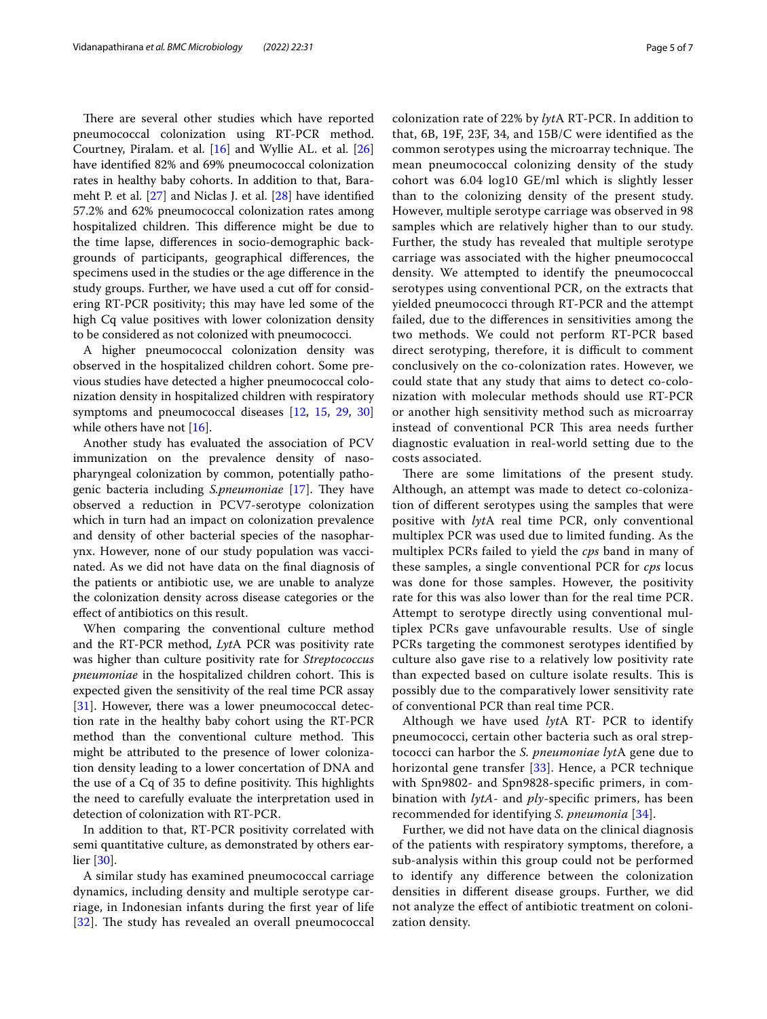There are several other studies which have reported pneumococcal colonization using RT-PCR method. Courtney, Piralam. et al. [\[16\]](#page-6-3) and Wyllie AL. et al. [[26](#page-6-13)] have identifed 82% and 69% pneumococcal colonization rates in healthy baby cohorts. In addition to that, Barameht P. et al. [[27](#page-6-14)] and Niclas J. et al. [[28\]](#page-6-15) have identifed 57.2% and 62% pneumococcal colonization rates among hospitalized children. This difference might be due to the time lapse, diferences in socio-demographic backgrounds of participants, geographical diferences, the specimens used in the studies or the age diference in the study groups. Further, we have used a cut off for considering RT-PCR positivity; this may have led some of the high Cq value positives with lower colonization density to be considered as not colonized with pneumococci.

A higher pneumococcal colonization density was observed in the hospitalized children cohort. Some previous studies have detected a higher pneumococcal colonization density in hospitalized children with respiratory symptoms and pneumococcal diseases [[12,](#page-5-8) [15](#page-6-2), [29,](#page-6-16) [30](#page-6-17)] while others have not [\[16](#page-6-3)].

Another study has evaluated the association of PCV immunization on the prevalence density of nasopharyngeal colonization by common, potentially pathogenic bacteria including *S.pneumoniae* [[17\]](#page-6-4). They have observed a reduction in PCV7-serotype colonization which in turn had an impact on colonization prevalence and density of other bacterial species of the nasopharynx. However, none of our study population was vaccinated. As we did not have data on the fnal diagnosis of the patients or antibiotic use, we are unable to analyze the colonization density across disease categories or the efect of antibiotics on this result.

When comparing the conventional culture method and the RT-PCR method, *Lyt*A PCR was positivity rate was higher than culture positivity rate for *Streptococcus pneumoniae* in the hospitalized children cohort. This is expected given the sensitivity of the real time PCR assay [[31\]](#page-6-18). However, there was a lower pneumococcal detection rate in the healthy baby cohort using the RT-PCR method than the conventional culture method. This might be attributed to the presence of lower colonization density leading to a lower concertation of DNA and the use of a Cq of 35 to define positivity. This highlights the need to carefully evaluate the interpretation used in detection of colonization with RT-PCR.

In addition to that, RT-PCR positivity correlated with semi quantitative culture, as demonstrated by others earlier [[30](#page-6-17)].

A similar study has examined pneumococcal carriage dynamics, including density and multiple serotype carriage, in Indonesian infants during the frst year of life [[32](#page-6-19)]. The study has revealed an overall pneumococcal colonization rate of 22% by *lyt*A RT-PCR. In addition to that, 6B, 19F, 23F, 34, and 15B/C were identifed as the common serotypes using the microarray technique. The mean pneumococcal colonizing density of the study cohort was 6.04 log10 GE/ml which is slightly lesser than to the colonizing density of the present study. However, multiple serotype carriage was observed in 98 samples which are relatively higher than to our study. Further, the study has revealed that multiple serotype carriage was associated with the higher pneumococcal density. We attempted to identify the pneumococcal serotypes using conventional PCR, on the extracts that yielded pneumococci through RT-PCR and the attempt failed, due to the diferences in sensitivities among the two methods. We could not perform RT-PCR based direct serotyping, therefore, it is difficult to comment conclusively on the co-colonization rates. However, we could state that any study that aims to detect co-colonization with molecular methods should use RT-PCR or another high sensitivity method such as microarray instead of conventional PCR This area needs further diagnostic evaluation in real-world setting due to the costs associated.

There are some limitations of the present study. Although, an attempt was made to detect co-colonization of diferent serotypes using the samples that were positive with *lyt*A real time PCR, only conventional multiplex PCR was used due to limited funding. As the multiplex PCRs failed to yield the *cps* band in many of these samples, a single conventional PCR for *cps* locus was done for those samples. However, the positivity rate for this was also lower than for the real time PCR. Attempt to serotype directly using conventional multiplex PCRs gave unfavourable results. Use of single PCRs targeting the commonest serotypes identifed by culture also gave rise to a relatively low positivity rate than expected based on culture isolate results. This is possibly due to the comparatively lower sensitivity rate of conventional PCR than real time PCR.

Although we have used *lyt*A RT- PCR to identify pneumococci, certain other bacteria such as oral streptococci can harbor the *S. pneumoniae lyt*A gene due to horizontal gene transfer [\[33\]](#page-6-20). Hence, a PCR technique with Spn9802- and Spn9828-specifc primers, in combination with *lytA*- and *ply*-specifc primers, has been recommended for identifying *S. pneumonia* [[34\]](#page-6-21).

Further, we did not have data on the clinical diagnosis of the patients with respiratory symptoms, therefore, a sub-analysis within this group could not be performed to identify any diference between the colonization densities in diferent disease groups. Further, we did not analyze the efect of antibiotic treatment on colonization density.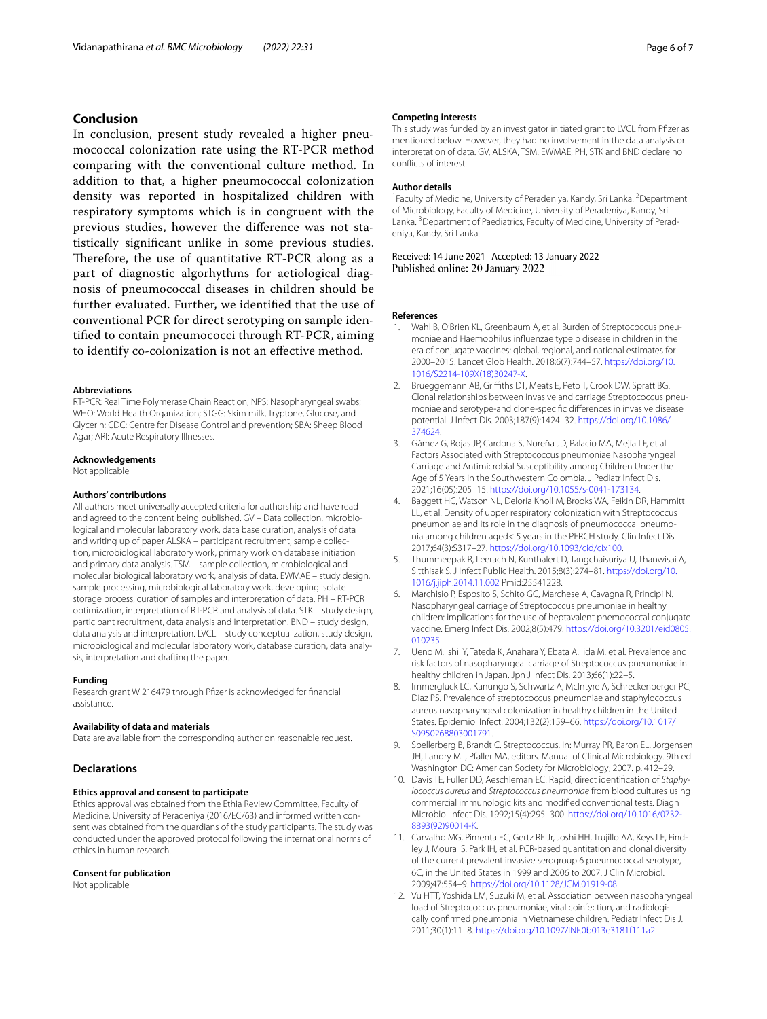## **Conclusion**

In conclusion, present study revealed a higher pneumococcal colonization rate using the RT-PCR method comparing with the conventional culture method. In addition to that, a higher pneumococcal colonization density was reported in hospitalized children with respiratory symptoms which is in congruent with the previous studies, however the diference was not statistically signifcant unlike in some previous studies. Therefore, the use of quantitative RT-PCR along as a part of diagnostic algorhythms for aetiological diagnosis of pneumococcal diseases in children should be further evaluated. Further, we identifed that the use of conventional PCR for direct serotyping on sample identifed to contain pneumococci through RT-PCR, aiming to identify co-colonization is not an efective method.

#### **Abbreviations**

RT-PCR: Real Time Polymerase Chain Reaction; NPS: Nasopharyngeal swabs; WHO: World Health Organization; STGG: Skim milk, Tryptone, Glucose, and Glycerin; CDC: Centre for Disease Control and prevention; SBA: Sheep Blood Agar; ARI: Acute Respiratory Illnesses.

#### **Acknowledgements**

Not applicable

### **Authors' contributions**

All authors meet universally accepted criteria for authorship and have read and agreed to the content being published. GV – Data collection, microbiological and molecular laboratory work, data base curation, analysis of data and writing up of paper ALSKA – participant recruitment, sample collection, microbiological laboratory work, primary work on database initiation and primary data analysis. TSM – sample collection, microbiological and molecular biological laboratory work, analysis of data. EWMAE – study design, sample processing, microbiological laboratory work, developing isolate storage process, curation of samples and interpretation of data. PH – RT-PCR optimization, interpretation of RT-PCR and analysis of data. STK – study design, participant recruitment, data analysis and interpretation. BND – study design, data analysis and interpretation. LVCL – study conceptualization, study design, microbiological and molecular laboratory work, database curation, data analysis, interpretation and drafting the paper.

#### **Funding**

Research grant WI216479 through Pfzer is acknowledged for fnancial assistance.

#### **Availability of data and materials**

Data are available from the corresponding author on reasonable request.

## **Declarations**

## **Ethics approval and consent to participate**

Ethics approval was obtained from the Ethia Review Committee, Faculty of Medicine, University of Peradeniya (2016/EC/63) and informed written consent was obtained from the guardians of the study participants. The study was conducted under the approved protocol following the international norms of ethics in human research.

### **Consent for publication**

Not applicable

### **Competing interests**

This study was funded by an investigator initiated grant to LVCL from Pfzer as mentioned below. However, they had no involvement in the data analysis or interpretation of data. GV, ALSKA, TSM, EWMAE, PH, STK and BND declare no conficts of interest.

## **Author details**

<sup>1</sup> Faculty of Medicine, University of Peradeniya, Kandy, Sri Lanka. <sup>2</sup> Department of Microbiology, Faculty of Medicine, University of Peradeniya, Kandy, Sri Lanka.<sup>3</sup> Department of Paediatrics, Faculty of Medicine, University of Peradeniya, Kandy, Sri Lanka.

Received: 14 June 2021 Accepted: 13 January 2022 Published online: 20 January 2022

#### **References**

- <span id="page-5-0"></span>1. Wahl B, O'Brien KL, Greenbaum A, et al. Burden of Streptococcus pneumoniae and Haemophilus infuenzae type b disease in children in the era of conjugate vaccines: global, regional, and national estimates for 2000–2015. Lancet Glob Health. 2018;6(7):744–57. [https://doi.org/10.](https://doi.org/10.1016/S2214-109X(18)30247-X) [1016/S2214-109X\(18\)30247-X](https://doi.org/10.1016/S2214-109X(18)30247-X).
- <span id="page-5-1"></span>2. Brueggemann AB, Griffiths DT, Meats E, Peto T, Crook DW, Spratt BG. Clonal relationships between invasive and carriage Streptococcus pneumoniae and serotype-and clone-specifc diferences in invasive disease potential. J Infect Dis. 2003;187(9):1424–32. [https://doi.org/10.1086/](https://doi.org/10.1086/374624) [374624.](https://doi.org/10.1086/374624)
- <span id="page-5-2"></span>3. Gámez G, Rojas JP, Cardona S, Noreña JD, Palacio MA, Mejía LF, et al. Factors Associated with Streptococcus pneumoniae Nasopharyngeal Carriage and Antimicrobial Susceptibility among Children Under the Age of 5 Years in the Southwestern Colombia. J Pediatr Infect Dis. 2021;16(05):205–15. <https://doi.org/10.1055/s-0041-173134>.
- <span id="page-5-3"></span>4. Baggett HC, Watson NL, Deloria Knoll M, Brooks WA, Feikin DR, Hammitt LL, et al. Density of upper respiratory colonization with Streptococcus pneumoniae and its role in the diagnosis of pneumococcal pneumonia among children aged< 5 years in the PERCH study. Clin Infect Dis. 2017;64(3):S317–27. [https://doi.org/10.1093/cid/cix100.](https://doi.org/10.1093/cid/cix100)
- 5. Thummeepak R, Leerach N, Kunthalert D, Tangchaisuriya U, Thanwisai A, Sitthisak S. J Infect Public Health. 2015;8(3):274–81. [https://doi.org/10.](https://doi.org/10.1016/j.jiph.2014.11.002) [1016/j.jiph.2014.11.002](https://doi.org/10.1016/j.jiph.2014.11.002) Pmid:25541228.
- 6. Marchisio P, Esposito S, Schito GC, Marchese A, Cavagna R, Principi N. Nasopharyngeal carriage of Streptococcus pneumoniae in healthy children: implications for the use of heptavalent pnemococcal conjugate vaccine. Emerg Infect Dis. 2002;8(5):479. [https://doi.org/10.3201/eid0805.](https://doi.org/10.3201/eid0805.010235) [010235.](https://doi.org/10.3201/eid0805.010235)
- 7. Ueno M, Ishii Y, Tateda K, Anahara Y, Ebata A, Iida M, et al. Prevalence and risk factors of nasopharyngeal carriage of Streptococcus pneumoniae in healthy children in Japan. Jpn J Infect Dis. 2013;66(1):22–5.
- <span id="page-5-4"></span>8. Immergluck LC, Kanungo S, Schwartz A, McIntyre A, Schreckenberger PC, Diaz PS. Prevalence of streptococcus pneumoniae and staphylococcus aureus nasopharyngeal colonization in healthy children in the United States. Epidemiol Infect. 2004;132(2):159–66. [https://doi.org/10.1017/](https://doi.org/10.1017/S0950268803001791) [S0950268803001791.](https://doi.org/10.1017/S0950268803001791)
- <span id="page-5-5"></span>9. Spellerberg B, Brandt C. Streptococcus. In: Murray PR, Baron EL, Jorgensen JH, Landry ML, Pfaller MA, editors. Manual of Clinical Microbiology. 9th ed. Washington DC: American Society for Microbiology; 2007. p. 412–29.
- <span id="page-5-6"></span>10. Davis TE, Fuller DD, Aeschleman EC. Rapid, direct identifcation of *Staphylococcus aureus* and *Streptococcus pneumoniae* from blood cultures using commercial immunologic kits and modifed conventional tests. Diagn Microbiol Infect Dis. 1992;15(4):295–300. [https://doi.org/10.1016/0732-](https://doi.org/10.1016/0732-8893(92)90014-K) [8893\(92\)90014-K](https://doi.org/10.1016/0732-8893(92)90014-K).
- <span id="page-5-7"></span>11. Carvalho MG, Pimenta FC, Gertz RE Jr, Joshi HH, Trujillo AA, Keys LE, Findley J, Moura IS, Park IH, et al. PCR-based quantitation and clonal diversity of the current prevalent invasive serogroup 6 pneumococcal serotype, 6C, in the United States in 1999 and 2006 to 2007. J Clin Microbiol. 2009;47:554–9. <https://doi.org/10.1128/JCM.01919-08>.
- <span id="page-5-8"></span>12. Vu HTT, Yoshida LM, Suzuki M, et al. Association between nasopharyngeal load of Streptococcus pneumoniae, viral coinfection, and radiologically confrmed pneumonia in Vietnamese children. Pediatr Infect Dis J. 2011;30(1):11–8. [https://doi.org/10.1097/INF.0b013e3181f111a2.](https://doi.org/10.1097/INF.0b013e3181f111a2)